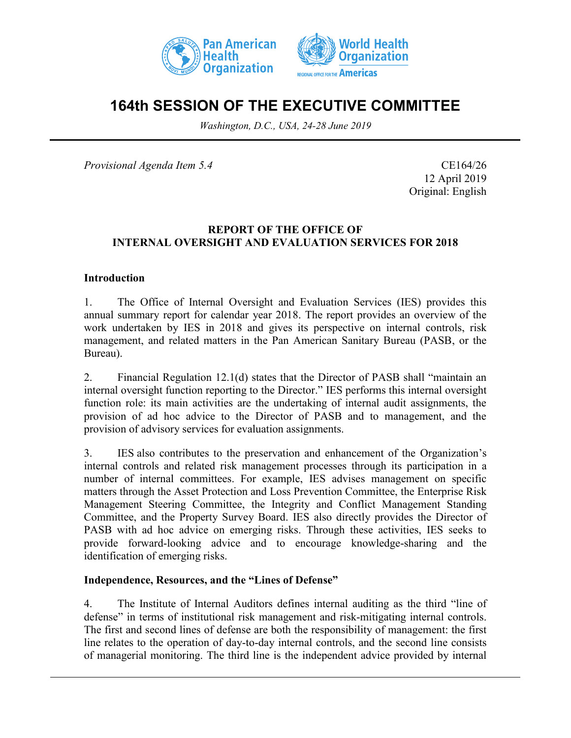



# **164th SESSION OF THE EXECUTIVE COMMITTEE**

*Washington, D.C., USA, 24-28 June 2019*

*Provisional Agenda Item 5.4* CE164/26

12 April 2019 Original: English

### **REPORT OF THE OFFICE OF INTERNAL OVERSIGHT AND EVALUATION SERVICES FOR 2018**

#### **Introduction**

1. The Office of Internal Oversight and Evaluation Services (IES) provides this annual summary report for calendar year 2018. The report provides an overview of the work undertaken by IES in 2018 and gives its perspective on internal controls, risk management, and related matters in the Pan American Sanitary Bureau (PASB, or the Bureau).

2. Financial Regulation 12.1(d) states that the Director of PASB shall "maintain an internal oversight function reporting to the Director." IES performs this internal oversight function role: its main activities are the undertaking of internal audit assignments, the provision of ad hoc advice to the Director of PASB and to management, and the provision of advisory services for evaluation assignments.

3. IES also contributes to the preservation and enhancement of the Organization's internal controls and related risk management processes through its participation in a number of internal committees. For example, IES advises management on specific matters through the Asset Protection and Loss Prevention Committee, the Enterprise Risk Management Steering Committee, the Integrity and Conflict Management Standing Committee, and the Property Survey Board. IES also directly provides the Director of PASB with ad hoc advice on emerging risks. Through these activities, IES seeks to provide forward-looking advice and to encourage knowledge-sharing and the identification of emerging risks.

#### **Independence, Resources, and the "Lines of Defense"**

4. The Institute of Internal Auditors defines internal auditing as the third "line of defense" in terms of institutional risk management and risk-mitigating internal controls. The first and second lines of defense are both the responsibility of management: the first line relates to the operation of day-to-day internal controls, and the second line consists of managerial monitoring. The third line is the independent advice provided by internal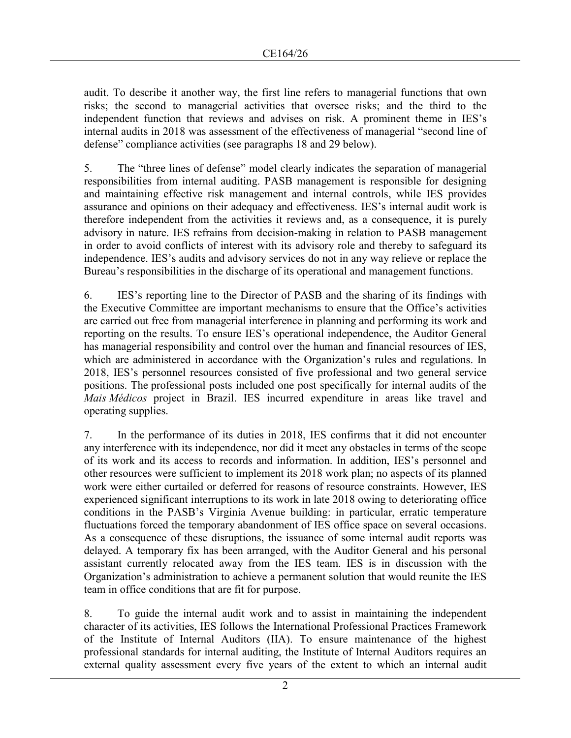audit. To describe it another way, the first line refers to managerial functions that own risks; the second to managerial activities that oversee risks; and the third to the independent function that reviews and advises on risk. A prominent theme in IES's internal audits in 2018 was assessment of the effectiveness of managerial "second line of defense" compliance activities (see paragraphs 18 and 29 below).

5. The "three lines of defense" model clearly indicates the separation of managerial responsibilities from internal auditing. PASB management is responsible for designing and maintaining effective risk management and internal controls, while IES provides assurance and opinions on their adequacy and effectiveness. IES's internal audit work is therefore independent from the activities it reviews and, as a consequence, it is purely advisory in nature. IES refrains from decision-making in relation to PASB management in order to avoid conflicts of interest with its advisory role and thereby to safeguard its independence. IES's audits and advisory services do not in any way relieve or replace the Bureau's responsibilities in the discharge of its operational and management functions.

6. IES's reporting line to the Director of PASB and the sharing of its findings with the Executive Committee are important mechanisms to ensure that the Office's activities are carried out free from managerial interference in planning and performing its work and reporting on the results. To ensure IES's operational independence, the Auditor General has managerial responsibility and control over the human and financial resources of IES, which are administered in accordance with the Organization's rules and regulations. In 2018, IES's personnel resources consisted of five professional and two general service positions. The professional posts included one post specifically for internal audits of the *Mais Médicos* project in Brazil. IES incurred expenditure in areas like travel and operating supplies.

7. In the performance of its duties in 2018, IES confirms that it did not encounter any interference with its independence, nor did it meet any obstacles in terms of the scope of its work and its access to records and information. In addition, IES's personnel and other resources were sufficient to implement its 2018 work plan; no aspects of its planned work were either curtailed or deferred for reasons of resource constraints. However, IES experienced significant interruptions to its work in late 2018 owing to deteriorating office conditions in the PASB's Virginia Avenue building: in particular, erratic temperature fluctuations forced the temporary abandonment of IES office space on several occasions. As a consequence of these disruptions, the issuance of some internal audit reports was delayed. A temporary fix has been arranged, with the Auditor General and his personal assistant currently relocated away from the IES team. IES is in discussion with the Organization's administration to achieve a permanent solution that would reunite the IES team in office conditions that are fit for purpose.

8. To guide the internal audit work and to assist in maintaining the independent character of its activities, IES follows the International Professional Practices Framework of the Institute of Internal Auditors (IIA). To ensure maintenance of the highest professional standards for internal auditing, the Institute of Internal Auditors requires an external quality assessment every five years of the extent to which an internal audit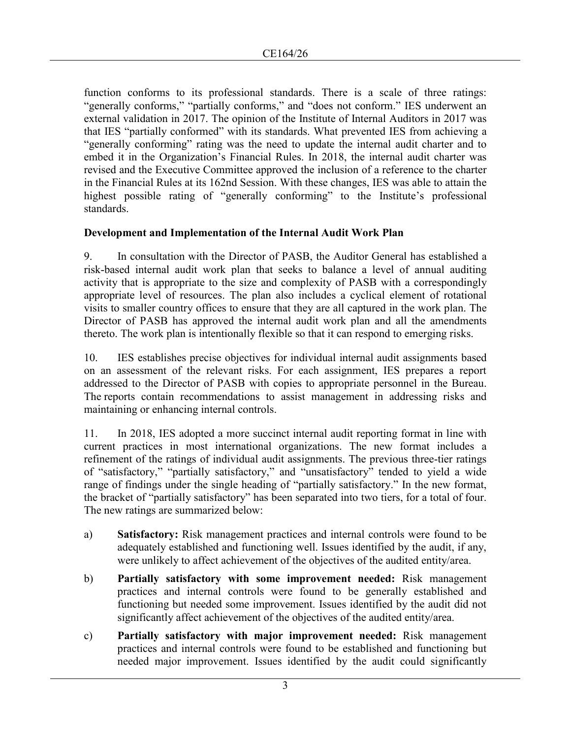function conforms to its professional standards. There is a scale of three ratings: "generally conforms," "partially conforms," and "does not conform." IES underwent an external validation in 2017. The opinion of the Institute of Internal Auditors in 2017 was that IES "partially conformed" with its standards. What prevented IES from achieving a "generally conforming" rating was the need to update the internal audit charter and to embed it in the Organization's Financial Rules. In 2018, the internal audit charter was revised and the Executive Committee approved the inclusion of a reference to the charter in the Financial Rules at its 162nd Session. With these changes, IES was able to attain the highest possible rating of "generally conforming" to the Institute's professional standards.

### **Development and Implementation of the Internal Audit Work Plan**

9. In consultation with the Director of PASB, the Auditor General has established a risk-based internal audit work plan that seeks to balance a level of annual auditing activity that is appropriate to the size and complexity of PASB with a correspondingly appropriate level of resources. The plan also includes a cyclical element of rotational visits to smaller country offices to ensure that they are all captured in the work plan. The Director of PASB has approved the internal audit work plan and all the amendments thereto. The work plan is intentionally flexible so that it can respond to emerging risks.

10. IES establishes precise objectives for individual internal audit assignments based on an assessment of the relevant risks. For each assignment, IES prepares a report addressed to the Director of PASB with copies to appropriate personnel in the Bureau. The reports contain recommendations to assist management in addressing risks and maintaining or enhancing internal controls.

11. In 2018, IES adopted a more succinct internal audit reporting format in line with current practices in most international organizations. The new format includes a refinement of the ratings of individual audit assignments. The previous three-tier ratings of "satisfactory," "partially satisfactory," and "unsatisfactory" tended to yield a wide range of findings under the single heading of "partially satisfactory." In the new format, the bracket of "partially satisfactory" has been separated into two tiers, for a total of four. The new ratings are summarized below:

- a) **Satisfactory:** Risk management practices and internal controls were found to be adequately established and functioning well. Issues identified by the audit, if any, were unlikely to affect achievement of the objectives of the audited entity/area.
- b) **Partially satisfactory with some improvement needed:** Risk management practices and internal controls were found to be generally established and functioning but needed some improvement. Issues identified by the audit did not significantly affect achievement of the objectives of the audited entity/area.
- c) **Partially satisfactory with major improvement needed:** Risk management practices and internal controls were found to be established and functioning but needed major improvement. Issues identified by the audit could significantly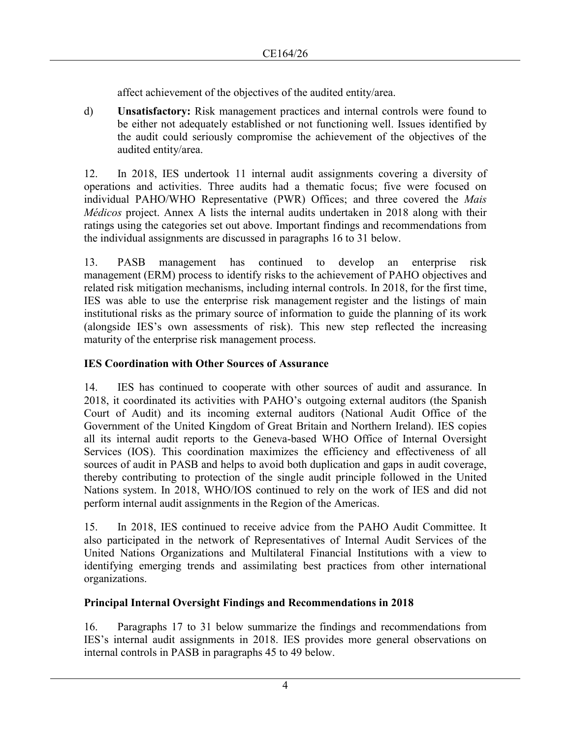affect achievement of the objectives of the audited entity/area.

d) **Unsatisfactory:** Risk management practices and internal controls were found to be either not adequately established or not functioning well. Issues identified by the audit could seriously compromise the achievement of the objectives of the audited entity/area.

12. In 2018, IES undertook 11 internal audit assignments covering a diversity of operations and activities. Three audits had a thematic focus; five were focused on individual PAHO/WHO Representative (PWR) Offices; and three covered the *Mais Médicos* project. Annex A lists the internal audits undertaken in 2018 along with their ratings using the categories set out above. Important findings and recommendations from the individual assignments are discussed in paragraphs 16 to 31 below.

13. PASB management has continued to develop an enterprise risk management (ERM) process to identify risks to the achievement of PAHO objectives and related risk mitigation mechanisms, including internal controls. In 2018, for the first time, IES was able to use the enterprise risk management register and the listings of main institutional risks as the primary source of information to guide the planning of its work (alongside IES's own assessments of risk). This new step reflected the increasing maturity of the enterprise risk management process.

# **IES Coordination with Other Sources of Assurance**

14. IES has continued to cooperate with other sources of audit and assurance. In 2018, it coordinated its activities with PAHO's outgoing external auditors (the Spanish Court of Audit) and its incoming external auditors (National Audit Office of the Government of the United Kingdom of Great Britain and Northern Ireland). IES copies all its internal audit reports to the Geneva-based WHO Office of Internal Oversight Services (IOS). This coordination maximizes the efficiency and effectiveness of all sources of audit in PASB and helps to avoid both duplication and gaps in audit coverage, thereby contributing to protection of the single audit principle followed in the United Nations system. In 2018, WHO/IOS continued to rely on the work of IES and did not perform internal audit assignments in the Region of the Americas.

15. In 2018, IES continued to receive advice from the PAHO Audit Committee. It also participated in the network of Representatives of Internal Audit Services of the United Nations Organizations and Multilateral Financial Institutions with a view to identifying emerging trends and assimilating best practices from other international organizations.

### **Principal Internal Oversight Findings and Recommendations in 2018**

16. Paragraphs 17 to 31 below summarize the findings and recommendations from IES's internal audit assignments in 2018. IES provides more general observations on internal controls in PASB in paragraphs 45 to 49 below.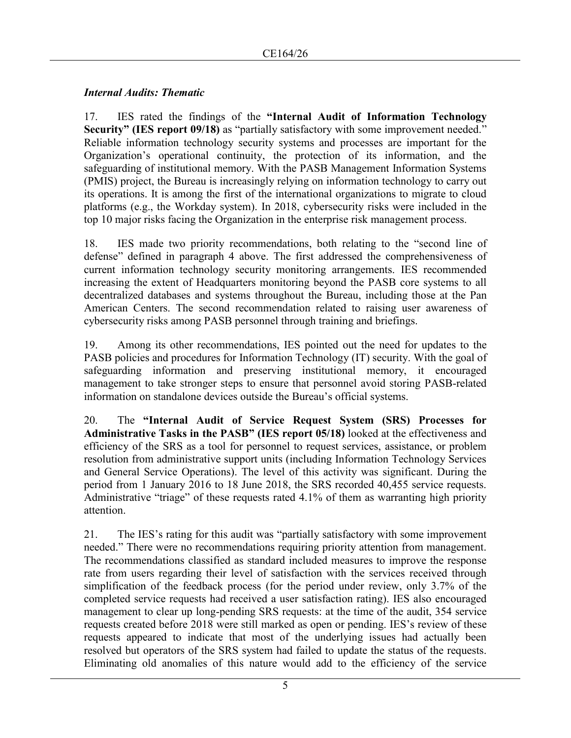### *Internal Audits: Thematic*

17. IES rated the findings of the **"Internal Audit of Information Technology Security" (IES report 09/18)** as "partially satisfactory with some improvement needed." Reliable information technology security systems and processes are important for the Organization's operational continuity, the protection of its information, and the safeguarding of institutional memory. With the PASB Management Information Systems (PMIS) project, the Bureau is increasingly relying on information technology to carry out its operations. It is among the first of the international organizations to migrate to cloud platforms (e.g., the Workday system). In 2018, cybersecurity risks were included in the top 10 major risks facing the Organization in the enterprise risk management process.

18. IES made two priority recommendations, both relating to the "second line of defense" defined in paragraph 4 above. The first addressed the comprehensiveness of current information technology security monitoring arrangements. IES recommended increasing the extent of Headquarters monitoring beyond the PASB core systems to all decentralized databases and systems throughout the Bureau, including those at the Pan American Centers. The second recommendation related to raising user awareness of cybersecurity risks among PASB personnel through training and briefings.

19. Among its other recommendations, IES pointed out the need for updates to the PASB policies and procedures for Information Technology (IT) security. With the goal of safeguarding information and preserving institutional memory, it encouraged management to take stronger steps to ensure that personnel avoid storing PASB-related information on standalone devices outside the Bureau's official systems.

20. The **"Internal Audit of Service Request System (SRS) Processes for Administrative Tasks in the PASB" (IES report 05/18)** looked at the effectiveness and efficiency of the SRS as a tool for personnel to request services, assistance, or problem resolution from administrative support units (including Information Technology Services and General Service Operations). The level of this activity was significant. During the period from 1 January 2016 to 18 June 2018, the SRS recorded 40,455 service requests. Administrative "triage" of these requests rated 4.1% of them as warranting high priority attention.

21. The IES's rating for this audit was "partially satisfactory with some improvement needed." There were no recommendations requiring priority attention from management. The recommendations classified as standard included measures to improve the response rate from users regarding their level of satisfaction with the services received through simplification of the feedback process (for the period under review, only 3.7% of the completed service requests had received a user satisfaction rating). IES also encouraged management to clear up long-pending SRS requests: at the time of the audit, 354 service requests created before 2018 were still marked as open or pending. IES's review of these requests appeared to indicate that most of the underlying issues had actually been resolved but operators of the SRS system had failed to update the status of the requests. Eliminating old anomalies of this nature would add to the efficiency of the service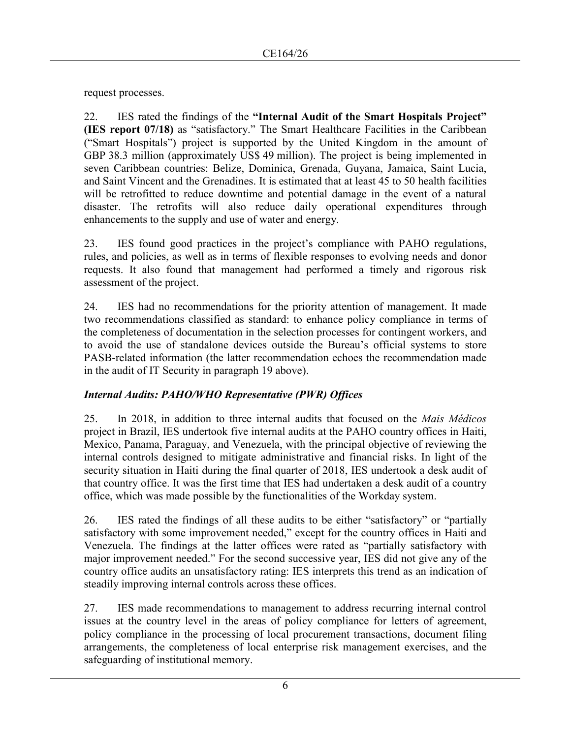request processes.

22. IES rated the findings of the **"Internal Audit of the Smart Hospitals Project" (IES report 07/18)** as "satisfactory." The Smart Healthcare Facilities in the Caribbean ("Smart Hospitals") project is supported by the United Kingdom in the amount of GBP 38.3 million (approximately US\$ 49 million). The project is being implemented in seven Caribbean countries: Belize, Dominica, Grenada, Guyana, Jamaica, Saint Lucia, and Saint Vincent and the Grenadines. It is estimated that at least 45 to 50 health facilities will be retrofitted to reduce downtime and potential damage in the event of a natural disaster. The retrofits will also reduce daily operational expenditures through enhancements to the supply and use of water and energy.

23. IES found good practices in the project's compliance with PAHO regulations, rules, and policies, as well as in terms of flexible responses to evolving needs and donor requests. It also found that management had performed a timely and rigorous risk assessment of the project.

24. IES had no recommendations for the priority attention of management. It made two recommendations classified as standard: to enhance policy compliance in terms of the completeness of documentation in the selection processes for contingent workers, and to avoid the use of standalone devices outside the Bureau's official systems to store PASB-related information (the latter recommendation echoes the recommendation made in the audit of IT Security in paragraph 19 above).

# *Internal Audits: PAHO/WHO Representative (PWR) Offices*

25. In 2018, in addition to three internal audits that focused on the *Mais Médicos* project in Brazil, IES undertook five internal audits at the PAHO country offices in Haiti, Mexico, Panama, Paraguay, and Venezuela, with the principal objective of reviewing the internal controls designed to mitigate administrative and financial risks. In light of the security situation in Haiti during the final quarter of 2018, IES undertook a desk audit of that country office. It was the first time that IES had undertaken a desk audit of a country office, which was made possible by the functionalities of the Workday system.

26. IES rated the findings of all these audits to be either "satisfactory" or "partially satisfactory with some improvement needed," except for the country offices in Haiti and Venezuela. The findings at the latter offices were rated as "partially satisfactory with major improvement needed." For the second successive year, IES did not give any of the country office audits an unsatisfactory rating: IES interprets this trend as an indication of steadily improving internal controls across these offices.

27. IES made recommendations to management to address recurring internal control issues at the country level in the areas of policy compliance for letters of agreement, policy compliance in the processing of local procurement transactions, document filing arrangements, the completeness of local enterprise risk management exercises, and the safeguarding of institutional memory.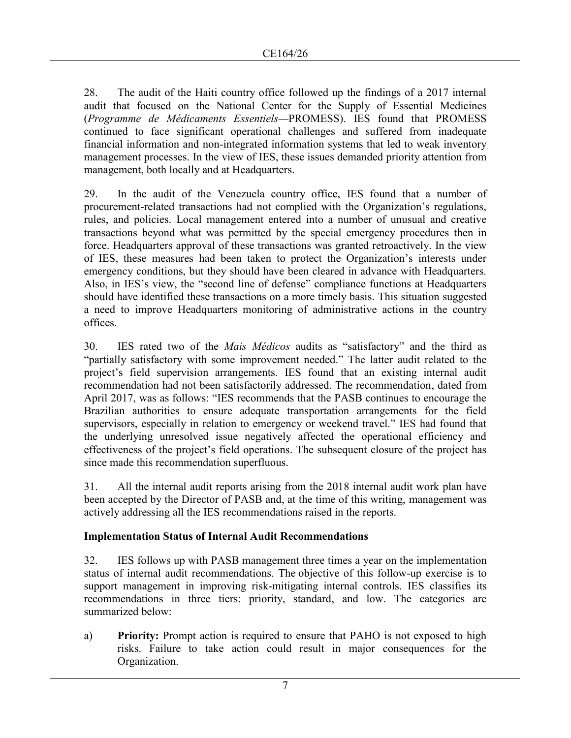28. The audit of the Haiti country office followed up the findings of a 2017 internal audit that focused on the National Center for the Supply of Essential Medicines (*Programme de Médicaments Essentiels—*PROMESS). IES found that PROMESS continued to face significant operational challenges and suffered from inadequate financial information and non-integrated information systems that led to weak inventory management processes. In the view of IES, these issues demanded priority attention from management, both locally and at Headquarters.

29. In the audit of the Venezuela country office, IES found that a number of procurement-related transactions had not complied with the Organization's regulations, rules, and policies. Local management entered into a number of unusual and creative transactions beyond what was permitted by the special emergency procedures then in force. Headquarters approval of these transactions was granted retroactively. In the view of IES, these measures had been taken to protect the Organization's interests under emergency conditions, but they should have been cleared in advance with Headquarters. Also, in IES's view, the "second line of defense" compliance functions at Headquarters should have identified these transactions on a more timely basis. This situation suggested a need to improve Headquarters monitoring of administrative actions in the country offices.

30. IES rated two of the *Mais Médicos* audits as "satisfactory" and the third as "partially satisfactory with some improvement needed." The latter audit related to the project's field supervision arrangements. IES found that an existing internal audit recommendation had not been satisfactorily addressed. The recommendation, dated from April 2017, was as follows: "IES recommends that the PASB continues to encourage the Brazilian authorities to ensure adequate transportation arrangements for the field supervisors, especially in relation to emergency or weekend travel." IES had found that the underlying unresolved issue negatively affected the operational efficiency and effectiveness of the project's field operations. The subsequent closure of the project has since made this recommendation superfluous.

31. All the internal audit reports arising from the 2018 internal audit work plan have been accepted by the Director of PASB and, at the time of this writing, management was actively addressing all the IES recommendations raised in the reports.

#### **Implementation Status of Internal Audit Recommendations**

32. IES follows up with PASB management three times a year on the implementation status of internal audit recommendations. The objective of this follow-up exercise is to support management in improving risk-mitigating internal controls. IES classifies its recommendations in three tiers: priority, standard, and low. The categories are summarized below:

a) **Priority:** Prompt action is required to ensure that PAHO is not exposed to high risks. Failure to take action could result in major consequences for the Organization.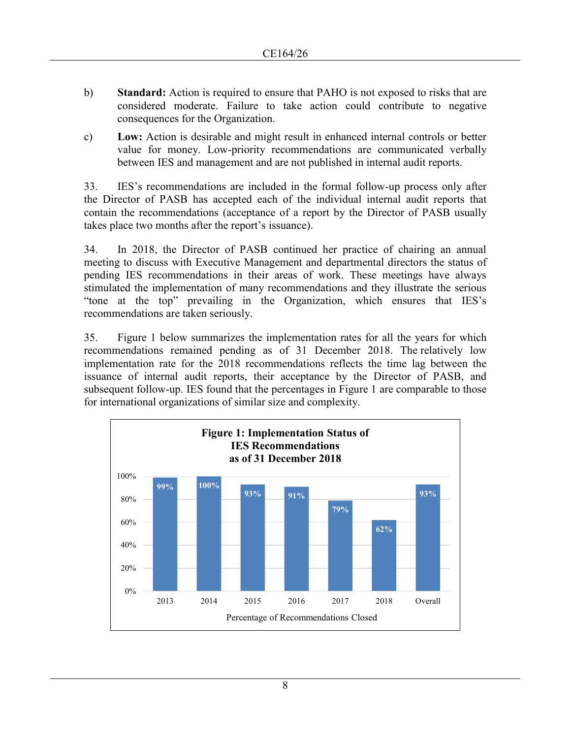- b) **Standard:** Action is required to ensure that PAHO is not exposed to risks that are considered moderate. Failure to take action could contribute to negative consequences for the Organization.
- c) **Low:** Action is desirable and might result in enhanced internal controls or better value for money. Low-priority recommendations are communicated verbally between IES and management and are not published in internal audit reports.

33. IES's recommendations are included in the formal follow-up process only after the Director of PASB has accepted each of the individual internal audit reports that contain the recommendations (acceptance of a report by the Director of PASB usually takes place two months after the report's issuance).

34. In 2018, the Director of PASB continued her practice of chairing an annual meeting to discuss with Executive Management and departmental directors the status of pending IES recommendations in their areas of work. These meetings have always stimulated the implementation of many recommendations and they illustrate the serious "tone at the top" prevailing in the Organization, which ensures that IES's recommendations are taken seriously.

35. Figure 1 below summarizes the implementation rates for all the years for which recommendations remained pending as of 31 December 2018. The relatively low implementation rate for the 2018 recommendations reflects the time lag between the issuance of internal audit reports, their acceptance by the Director of PASB, and subsequent follow-up. IES found that the percentages in Figure 1 are comparable to those for international organizations of similar size and complexity.

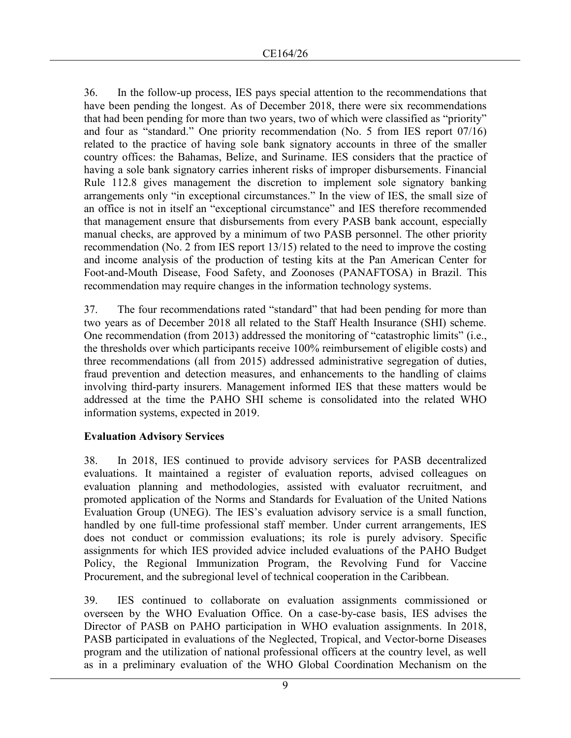36. In the follow-up process, IES pays special attention to the recommendations that have been pending the longest. As of December 2018, there were six recommendations that had been pending for more than two years, two of which were classified as "priority" and four as "standard." One priority recommendation (No. 5 from IES report 07/16) related to the practice of having sole bank signatory accounts in three of the smaller country offices: the Bahamas, Belize, and Suriname. IES considers that the practice of having a sole bank signatory carries inherent risks of improper disbursements. Financial Rule 112.8 gives management the discretion to implement sole signatory banking arrangements only "in exceptional circumstances." In the view of IES, the small size of an office is not in itself an "exceptional circumstance" and IES therefore recommended that management ensure that disbursements from every PASB bank account, especially manual checks, are approved by a minimum of two PASB personnel. The other priority recommendation (No. 2 from IES report 13/15) related to the need to improve the costing and income analysis of the production of testing kits at the Pan American Center for Foot-and-Mouth Disease, Food Safety, and Zoonoses (PANAFTOSA) in Brazil. This recommendation may require changes in the information technology systems.

37. The four recommendations rated "standard" that had been pending for more than two years as of December 2018 all related to the Staff Health Insurance (SHI) scheme. One recommendation (from 2013) addressed the monitoring of "catastrophic limits" (i.e., the thresholds over which participants receive 100% reimbursement of eligible costs) and three recommendations (all from 2015) addressed administrative segregation of duties, fraud prevention and detection measures, and enhancements to the handling of claims involving third-party insurers. Management informed IES that these matters would be addressed at the time the PAHO SHI scheme is consolidated into the related WHO information systems, expected in 2019.

### **Evaluation Advisory Services**

38. In 2018, IES continued to provide advisory services for PASB decentralized evaluations. It maintained a register of evaluation reports, advised colleagues on evaluation planning and methodologies, assisted with evaluator recruitment, and promoted application of the Norms and Standards for Evaluation of the United Nations Evaluation Group (UNEG). The IES's evaluation advisory service is a small function, handled by one full-time professional staff member. Under current arrangements, IES does not conduct or commission evaluations; its role is purely advisory. Specific assignments for which IES provided advice included evaluations of the PAHO Budget Policy, the Regional Immunization Program, the Revolving Fund for Vaccine Procurement, and the subregional level of technical cooperation in the Caribbean.

39. IES continued to collaborate on evaluation assignments commissioned or overseen by the WHO Evaluation Office. On a case-by-case basis, IES advises the Director of PASB on PAHO participation in WHO evaluation assignments. In 2018, PASB participated in evaluations of the Neglected, Tropical, and Vector-borne Diseases program and the utilization of national professional officers at the country level, as well as in a preliminary evaluation of the WHO Global Coordination Mechanism on the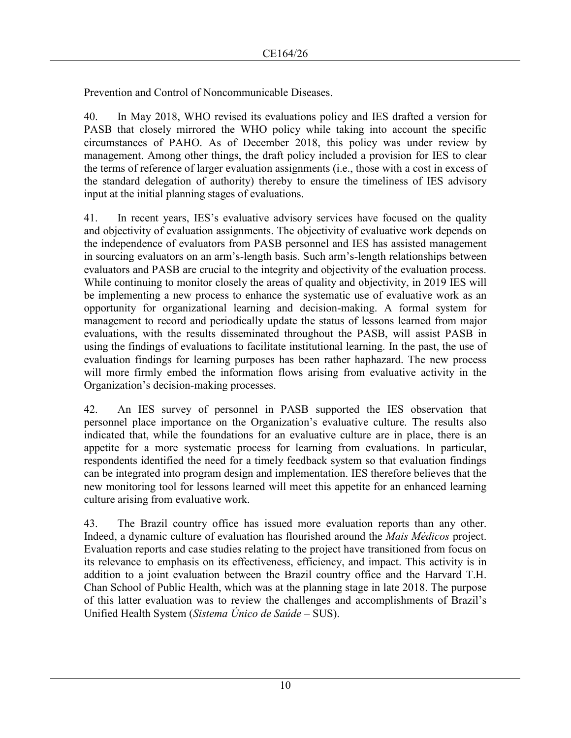Prevention and Control of Noncommunicable Diseases.

40. In May 2018, WHO revised its evaluations policy and IES drafted a version for PASB that closely mirrored the WHO policy while taking into account the specific circumstances of PAHO. As of December 2018, this policy was under review by management. Among other things, the draft policy included a provision for IES to clear the terms of reference of larger evaluation assignments (i.e., those with a cost in excess of the standard delegation of authority) thereby to ensure the timeliness of IES advisory input at the initial planning stages of evaluations.

41. In recent years, IES's evaluative advisory services have focused on the quality and objectivity of evaluation assignments. The objectivity of evaluative work depends on the independence of evaluators from PASB personnel and IES has assisted management in sourcing evaluators on an arm's-length basis. Such arm's-length relationships between evaluators and PASB are crucial to the integrity and objectivity of the evaluation process. While continuing to monitor closely the areas of quality and objectivity, in 2019 IES will be implementing a new process to enhance the systematic use of evaluative work as an opportunity for organizational learning and decision-making. A formal system for management to record and periodically update the status of lessons learned from major evaluations, with the results disseminated throughout the PASB, will assist PASB in using the findings of evaluations to facilitate institutional learning. In the past, the use of evaluation findings for learning purposes has been rather haphazard. The new process will more firmly embed the information flows arising from evaluative activity in the Organization's decision-making processes.

42. An IES survey of personnel in PASB supported the IES observation that personnel place importance on the Organization's evaluative culture. The results also indicated that, while the foundations for an evaluative culture are in place, there is an appetite for a more systematic process for learning from evaluations. In particular, respondents identified the need for a timely feedback system so that evaluation findings can be integrated into program design and implementation. IES therefore believes that the new monitoring tool for lessons learned will meet this appetite for an enhanced learning culture arising from evaluative work.

43. The Brazil country office has issued more evaluation reports than any other. Indeed, a dynamic culture of evaluation has flourished around the *Mais Médicos* project. Evaluation reports and case studies relating to the project have transitioned from focus on its relevance to emphasis on its effectiveness, efficiency, and impact. This activity is in addition to a joint evaluation between the Brazil country office and the Harvard T.H. Chan School of Public Health, which was at the planning stage in late 2018. The purpose of this latter evaluation was to review the challenges and accomplishments of Brazil's Unified Health System (*Sistema Único de Saúde* – SUS).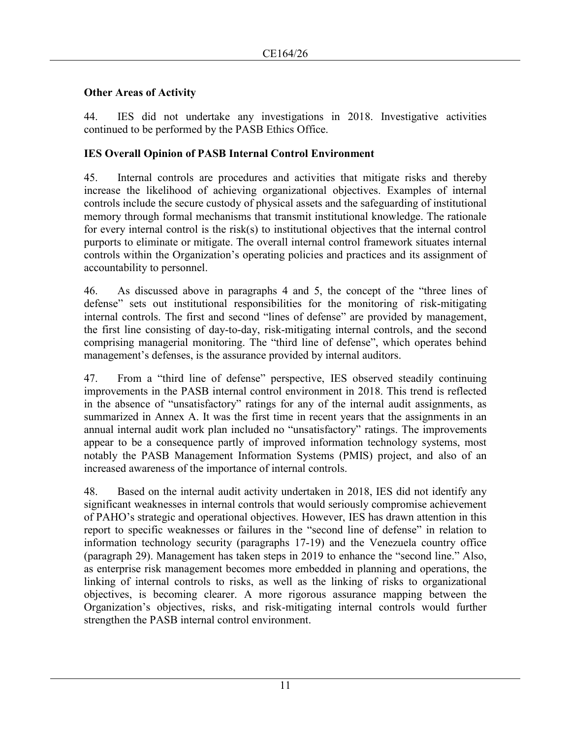### **Other Areas of Activity**

44. IES did not undertake any investigations in 2018. Investigative activities continued to be performed by the PASB Ethics Office.

### **IES Overall Opinion of PASB Internal Control Environment**

45. Internal controls are procedures and activities that mitigate risks and thereby increase the likelihood of achieving organizational objectives. Examples of internal controls include the secure custody of physical assets and the safeguarding of institutional memory through formal mechanisms that transmit institutional knowledge. The rationale for every internal control is the risk(s) to institutional objectives that the internal control purports to eliminate or mitigate. The overall internal control framework situates internal controls within the Organization's operating policies and practices and its assignment of accountability to personnel.

46. As discussed above in paragraphs 4 and 5, the concept of the "three lines of defense" sets out institutional responsibilities for the monitoring of risk-mitigating internal controls. The first and second "lines of defense" are provided by management, the first line consisting of day-to-day, risk-mitigating internal controls, and the second comprising managerial monitoring. The "third line of defense", which operates behind management's defenses, is the assurance provided by internal auditors.

47. From a "third line of defense" perspective, IES observed steadily continuing improvements in the PASB internal control environment in 2018. This trend is reflected in the absence of "unsatisfactory" ratings for any of the internal audit assignments, as summarized in Annex A. It was the first time in recent years that the assignments in an annual internal audit work plan included no "unsatisfactory" ratings. The improvements appear to be a consequence partly of improved information technology systems, most notably the PASB Management Information Systems (PMIS) project, and also of an increased awareness of the importance of internal controls.

48. Based on the internal audit activity undertaken in 2018, IES did not identify any significant weaknesses in internal controls that would seriously compromise achievement of PAHO's strategic and operational objectives. However, IES has drawn attention in this report to specific weaknesses or failures in the "second line of defense" in relation to information technology security (paragraphs 17-19) and the Venezuela country office (paragraph 29). Management has taken steps in 2019 to enhance the "second line." Also, as enterprise risk management becomes more embedded in planning and operations, the linking of internal controls to risks, as well as the linking of risks to organizational objectives, is becoming clearer. A more rigorous assurance mapping between the Organization's objectives, risks, and risk-mitigating internal controls would further strengthen the PASB internal control environment.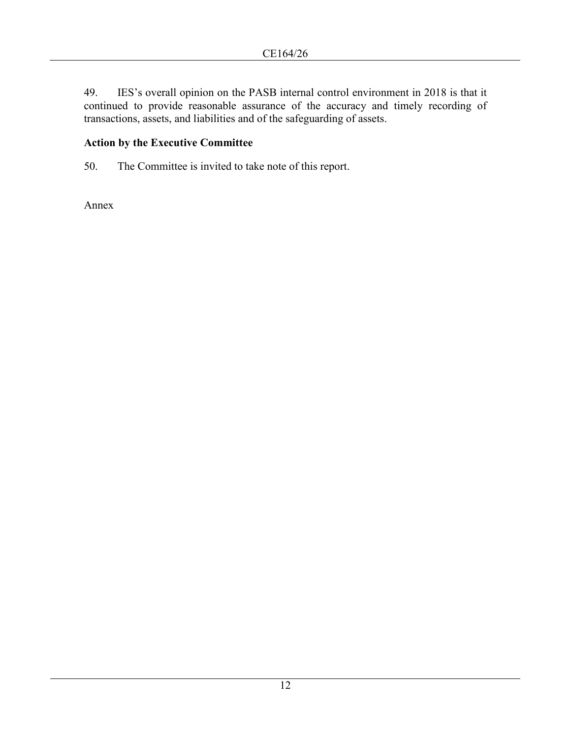49. IES's overall opinion on the PASB internal control environment in 2018 is that it continued to provide reasonable assurance of the accuracy and timely recording of transactions, assets, and liabilities and of the safeguarding of assets.

# **Action by the Executive Committee**

50. The Committee is invited to take note of this report.

Annex